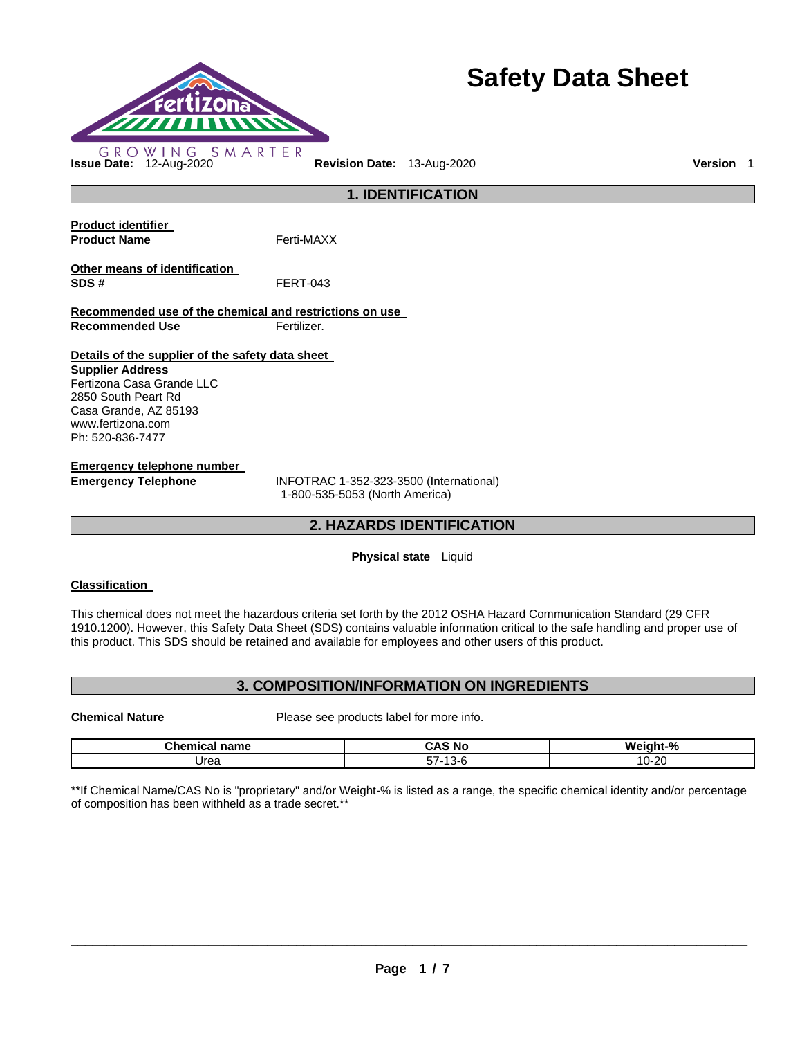

# **Safety Data Sheet**

**Product identifier Product Name Ferti-MAXX Other means of identification SDS #** FERT-043 **Recommended use of the chemical and restrictions on use Recommended Use Fertilizer. Details of the supplier of the safety data sheet Supplier Address** Fertizona Casa Grande LLC 2850 South Peart Rd Casa Grande, AZ 85193 www.fertizona.com Ph: 520-836-7477 **Emergency telephone number** 

**Emergency Telephone** INFOTRAC 1-352-323-3500 (International) 1-800-535-5053 (North America)

# **2. HAZARDS IDENTIFICATION**

**1. IDENTIFICATION** 

# **Physical state** Liquid

# **Classification**

This chemical does not meet the hazardous criteria set forth by the 2012 OSHA Hazard Communication Standard (29 CFR 1910.1200). However, this Safety Data Sheet (SDS) contains valuable information critical to the safe handling and proper use of this product. This SDS should be retained and available for employees and other users of this product.

# **3. COMPOSITION/INFORMATION ON INGREDIENTS**

**Chemical Nature** Please see products label for more info.

| <b>Chamic</b><br>name | .<br>No<br>™<br>$\sim$ | W.<br>∴iαht⊾<br>7٥ |
|-----------------------|------------------------|--------------------|
| Urea                  | ЭŁ.<br>ີ               | -20<br>. .         |

\*\*If Chemical Name/CAS No is "proprietary" and/or Weight-% is listed as a range, the specific chemical identity and/or percentage of composition has been withheld as a trade secret.\*\*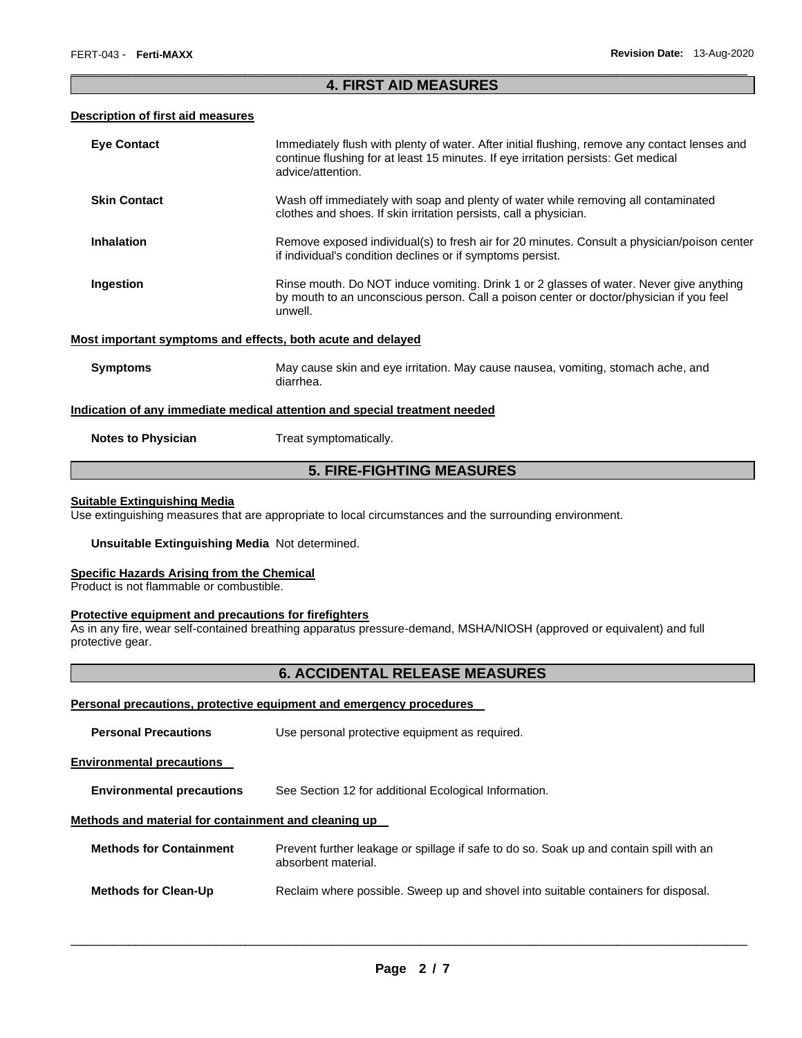# \_\_\_\_\_\_\_\_\_\_\_\_\_\_\_\_\_\_\_\_\_\_\_\_\_\_\_\_\_\_\_\_\_\_\_\_\_\_\_\_\_\_\_\_\_\_\_\_\_\_\_\_\_\_\_\_\_\_\_\_\_\_\_\_\_\_\_\_\_\_\_\_\_\_\_\_\_\_\_\_\_\_\_\_\_\_\_\_\_\_\_\_\_ **4. FIRST AID MEASURES**

# **Description of first aid measures**

| <b>Eye Contact</b>                                                                | Immediately flush with plenty of water. After initial flushing, remove any contact lenses and<br>continue flushing for at least 15 minutes. If eye irritation persists: Get medical<br>advice/attention. |  |
|-----------------------------------------------------------------------------------|----------------------------------------------------------------------------------------------------------------------------------------------------------------------------------------------------------|--|
| <b>Skin Contact</b>                                                               | Wash off immediately with soap and plenty of water while removing all contaminated<br>clothes and shoes. If skin irritation persists, call a physician.                                                  |  |
| <b>Inhalation</b>                                                                 | Remove exposed individual(s) to fresh air for 20 minutes. Consult a physician/poison center<br>if individual's condition declines or if symptoms persist.                                                |  |
| Ingestion                                                                         | Rinse mouth. Do NOT induce vomiting. Drink 1 or 2 glasses of water. Never give anything<br>by mouth to an unconscious person. Call a poison center or doctor/physician if you feel<br>unwell.            |  |
| Most important symptoms and effects, both acute and delayed                       |                                                                                                                                                                                                          |  |
| <b>Symptoms</b>                                                                   | May cause skin and eye irritation. May cause nausea, vomiting, stomach ache, and<br>diarrhea.                                                                                                            |  |
| <u>Indication of any immediate medical attention and special treatment needed</u> |                                                                                                                                                                                                          |  |
| <b>Notes to Physician</b>                                                         | Treat symptomatically.                                                                                                                                                                                   |  |
| <b>5. FIRE-FIGHTING MEASURES</b>                                                  |                                                                                                                                                                                                          |  |

# **Suitable Extinguishing Media**

Use extinguishing measures that are appropriate to local circumstances and the surrounding environment.

#### **Unsuitable Extinguishing Media** Not determined.

#### **Specific Hazards Arising from the Chemical**

Product is not flammable or combustible.

#### **Protective equipment and precautions for firefighters**

As in any fire, wear self-contained breathing apparatus pressure-demand, MSHA/NIOSH (approved or equivalent) and full protective gear.

# **6. ACCIDENTAL RELEASE MEASURES**

# **Personal precautions, protective equipment and emergency procedures**

| <b>Personal Precautions</b>                          | Use personal protective equipment as required.                                                                 |
|------------------------------------------------------|----------------------------------------------------------------------------------------------------------------|
| <b>Environmental precautions</b>                     |                                                                                                                |
| <b>Environmental precautions</b>                     | See Section 12 for additional Ecological Information.                                                          |
| Methods and material for containment and cleaning up |                                                                                                                |
| <b>Methods for Containment</b>                       | Prevent further leakage or spillage if safe to do so. Soak up and contain spill with an<br>absorbent material. |
| <b>Methods for Clean-Up</b>                          | Reclaim where possible. Sweep up and shovel into suitable containers for disposal.                             |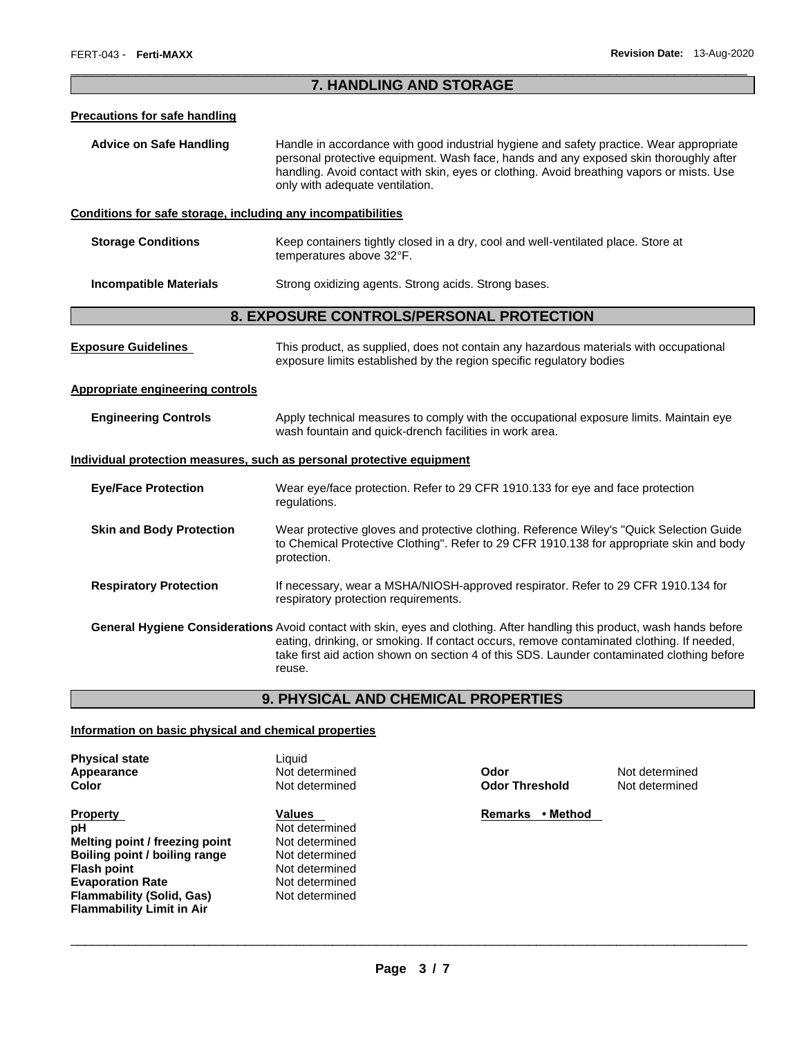# \_\_\_\_\_\_\_\_\_\_\_\_\_\_\_\_\_\_\_\_\_\_\_\_\_\_\_\_\_\_\_\_\_\_\_\_\_\_\_\_\_\_\_\_\_\_\_\_\_\_\_\_\_\_\_\_\_\_\_\_\_\_\_\_\_\_\_\_\_\_\_\_\_\_\_\_\_\_\_\_\_\_\_\_\_\_\_\_\_\_\_\_\_ **7. HANDLING AND STORAGE**

#### **Precautions for safe handling**

**Advice on Safe Handling** Handle in accordance with good industrial hygiene and safety practice. Wear appropriate personal protective equipment. Wash face, hands and any exposed skin thoroughly after handling. Avoid contact with skin, eyes or clothing. Avoid breathing vapors or mists. Use only with adequate ventilation.

#### **Conditions for safe storage, including any incompatibilities**

| <b>Storage Conditions</b> | Keep containers tightly closed in a dry, cool and well-ventilated place. Store at |
|---------------------------|-----------------------------------------------------------------------------------|
|                           | temperatures above 32°F.                                                          |
|                           |                                                                                   |

**Incompatible Materials Strong oxidizing agents. Strong acids. Strong bases.** 

# **8. EXPOSURE CONTROLS/PERSONAL PROTECTION**

| <b>Exposure Guidelines</b>              | This product, as supplied, does not contain any hazardous materials with occupational<br>exposure limits established by the region specific regulatory bodies                                                                                                                                                                  |
|-----------------------------------------|--------------------------------------------------------------------------------------------------------------------------------------------------------------------------------------------------------------------------------------------------------------------------------------------------------------------------------|
| <b>Appropriate engineering controls</b> |                                                                                                                                                                                                                                                                                                                                |
| <b>Engineering Controls</b>             | Apply technical measures to comply with the occupational exposure limits. Maintain eye<br>wash fountain and quick-drench facilities in work area.                                                                                                                                                                              |
|                                         | <u>Individual protection measures, such as personal protective equipment</u>                                                                                                                                                                                                                                                   |
| <b>Eye/Face Protection</b>              | Wear eye/face protection. Refer to 29 CFR 1910.133 for eye and face protection<br>regulations.                                                                                                                                                                                                                                 |
| <b>Skin and Body Protection</b>         | Wear protective gloves and protective clothing. Reference Wiley's "Quick Selection Guide"<br>to Chemical Protective Clothing". Refer to 29 CFR 1910.138 for appropriate skin and body<br>protection.                                                                                                                           |
| <b>Respiratory Protection</b>           | If necessary, wear a MSHA/NIOSH-approved respirator. Refer to 29 CFR 1910.134 for<br>respiratory protection requirements.                                                                                                                                                                                                      |
|                                         | General Hygiene Considerations Avoid contact with skin, eyes and clothing. After handling this product, wash hands before<br>eating, drinking, or smoking. If contact occurs, remove contaminated clothing. If needed,<br>take first aid action shown on section 4 of this SDS. Launder contaminated clothing before<br>reuse. |

# **9. PHYSICAL AND CHEMICAL PROPERTIES**

#### **Information on basic physical and chemical properties**

| <b>Physical state</b> |
|-----------------------|
| Appearance            |
| Color                 |

**Property Contract Property Contract Property Contract Property Contract Property Contract Property Contract Property pH** Not determined **Melting point / freezing point | Not determined Boiling point / boiling range Mot determined Flash point** Not determined **Evaporation Rate Not determined Flammability (Solid, Gas)** Not determined **Flammability Limit in Air** 

Liquid **Appearance** Not determined **Odor** Not determined

**Color** Not determined **Odor Threshold** Not determined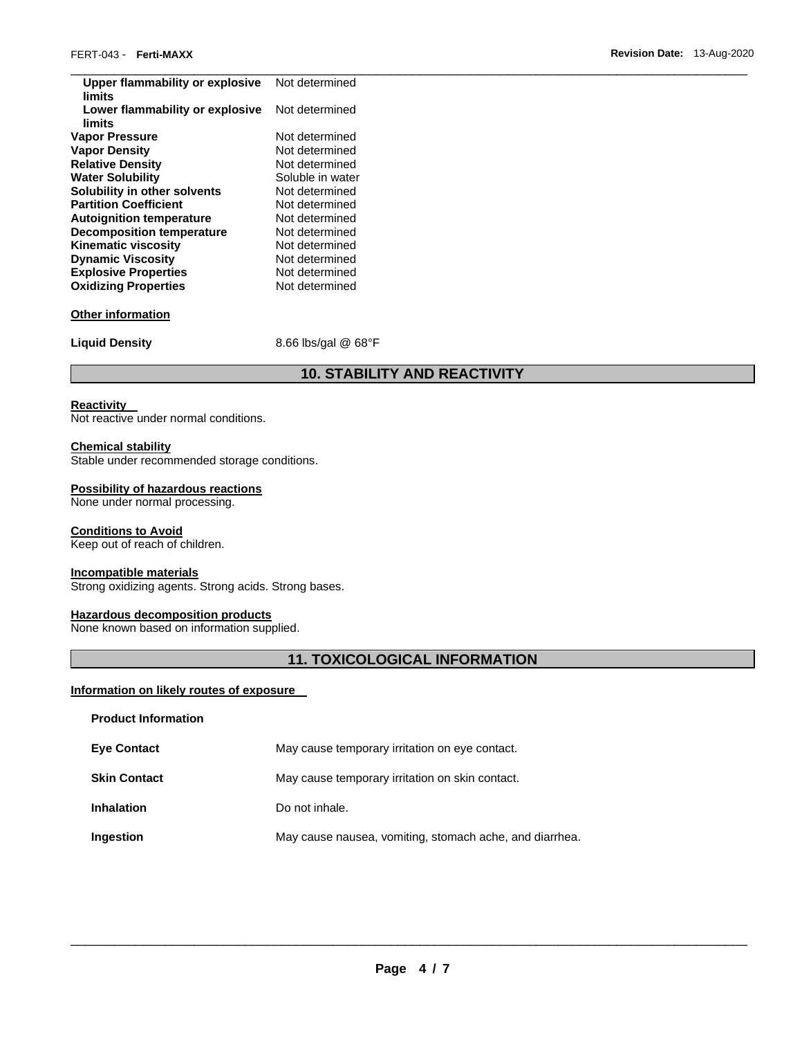| Upper flammability or explosive<br>limits | Not determined      |
|-------------------------------------------|---------------------|
| Lower flammability or explosive<br>limits | Not determined      |
| <b>Vapor Pressure</b>                     | Not determined      |
| <b>Vapor Density</b>                      | Not determined      |
| <b>Relative Density</b>                   | Not determined      |
| <b>Water Solubility</b>                   | Soluble in water    |
| Solubility in other solvents              | Not determined      |
| <b>Partition Coefficient</b>              | Not determined      |
| <b>Autoignition temperature</b>           | Not determined      |
| <b>Decomposition temperature</b>          | Not determined      |
| <b>Kinematic viscosity</b>                | Not determined      |
| <b>Dynamic Viscosity</b>                  | Not determined      |
| <b>Explosive Properties</b>               | Not determined      |
| <b>Oxidizing Properties</b>               | Not determined      |
| <b>Other information</b>                  |                     |
| <b>Liquid Density</b>                     | 8.66 lbs/gal @ 68°F |
|                                           |                     |

# **10. STABILITY AND REACTIVITY**

# **Reactivity**

Not reactive under normal conditions.

# **Chemical stability**

Stable under recommended storage conditions.

# **Possibility of hazardous reactions**

None under normal processing.

#### **Conditions to Avoid**

Keep out of reach of children.

# **Incompatible materials**

Strong oxidizing agents. Strong acids. Strong bases.

#### **Hazardous decomposition products**

None known based on information supplied.

# **11. TOXICOLOGICAL INFORMATION**

# **Information on likely routes of exposure**

| <b>Product Information</b> |                                                         |
|----------------------------|---------------------------------------------------------|
| <b>Eye Contact</b>         | May cause temporary irritation on eye contact.          |
| <b>Skin Contact</b>        | May cause temporary irritation on skin contact.         |
| <b>Inhalation</b>          | Do not inhale.                                          |
| Ingestion                  | May cause nausea, vomiting, stomach ache, and diarrhea. |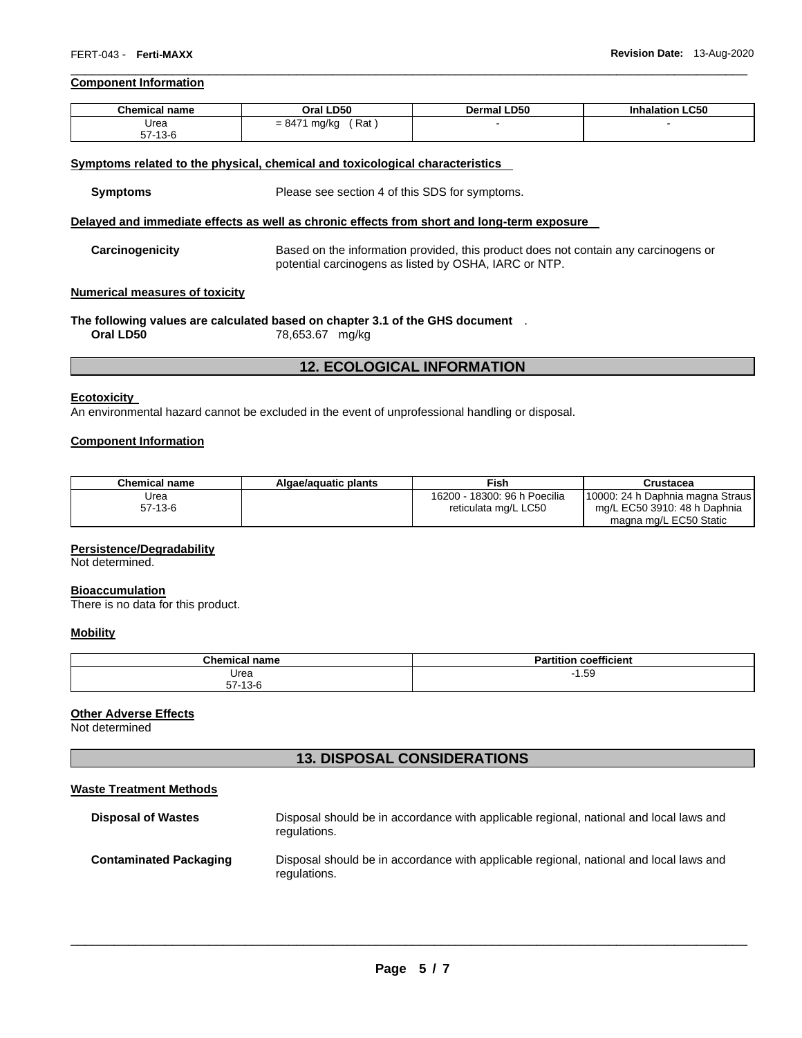# **Component Information**

| <b>Chemical name</b>    | Oral LD50                | <b>Dermal LD50</b> | <b>Inhalation LC50</b> |
|-------------------------|--------------------------|--------------------|------------------------|
| Urea                    | Rat<br>$= 8474$<br>mg/kg |                    |                        |
| 57.49C<br>$51 - 13 - 6$ |                          |                    |                        |

\_\_\_\_\_\_\_\_\_\_\_\_\_\_\_\_\_\_\_\_\_\_\_\_\_\_\_\_\_\_\_\_\_\_\_\_\_\_\_\_\_\_\_\_\_\_\_\_\_\_\_\_\_\_\_\_\_\_\_\_\_\_\_\_\_\_\_\_\_\_\_\_\_\_\_\_\_\_\_\_\_\_\_\_\_\_\_\_\_\_\_\_\_

#### **Symptoms related to the physical, chemical and toxicological characteristics**

**Symptoms** Please see section 4 of this SDS for symptoms.

#### **Delayed and immediate effects as well as chronic effects from short and long-term exposure**

**Carcinogenicity** Based on the information provided, this product does not contain any carcinogens or potential carcinogens as listed by OSHA, IARC or NTP.

## **Numerical measures of toxicity**

**The following values are calculated based on chapter 3.1 of the GHS document** .

**Oral LD50** 78,653.67 mg/kg

# **12. ECOLOGICAL INFORMATION**

#### **Ecotoxicity**

An environmental hazard cannot be excluded in the event of unprofessional handling or disposal.

# **Component Information**

| Chemical name | Algae/aguatic plants | <b>Fish</b>                  | Crustacea                          |
|---------------|----------------------|------------------------------|------------------------------------|
| Urea          |                      | 16200 - 18300: 96 h Poecilia | [10000: 24 h Daphnia magna Straus] |
| $57-13-6$     |                      | reticulata mg/L LC50         | mg/L EC50 3910: 48 h Daphnia       |
|               |                      |                              | magna mg/L EC50 Static             |

#### **Persistence/Degradability**

Not determined.

#### **Bioaccumulation**

There is no data for this product.

## **Mobility**

| Chemical.<br>n <sub>mn</sub><br>пань | $\overline{\phantom{a}}$<br>$\sim$ 3 $\times$ 3 $\sim$<br>coefficient<br>п.<br>ан |
|--------------------------------------|-----------------------------------------------------------------------------------|
| Urea                                 | $\sim$<br>1.59<br>- 1                                                             |
| --<br>$\sqrt{2}$<br>57 I J C         |                                                                                   |

# **Other Adverse Effects**

Not determined

# **13. DISPOSAL CONSIDERATIONS**

#### **Waste Treatment Methods**

| <b>Disposal of Wastes</b>     | Disposal should be in accordance with applicable regional, national and local laws and<br>regulations. |
|-------------------------------|--------------------------------------------------------------------------------------------------------|
| <b>Contaminated Packaging</b> | Disposal should be in accordance with applicable regional, national and local laws and<br>regulations. |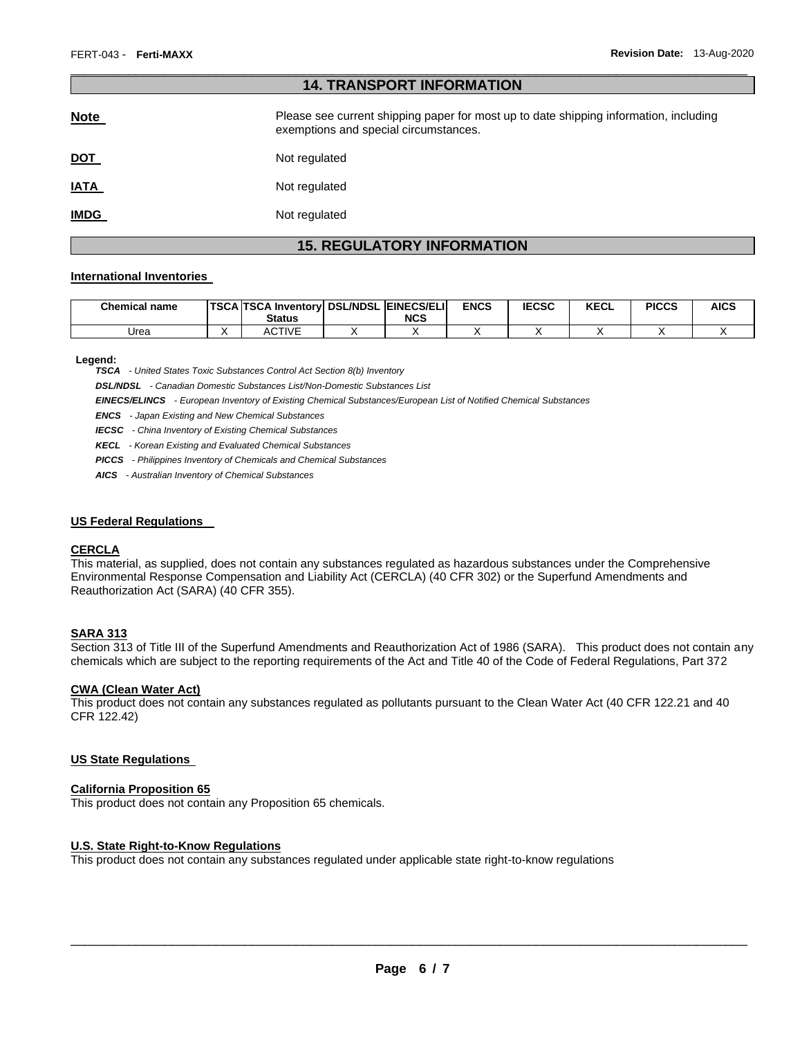| <b>14. TRANSPORT INFORMATION</b> |                                                                                                                                |  |  |  |  |  |
|----------------------------------|--------------------------------------------------------------------------------------------------------------------------------|--|--|--|--|--|
| <b>Note</b>                      | Please see current shipping paper for most up to date shipping information, including<br>exemptions and special circumstances. |  |  |  |  |  |
| <u>DOT</u>                       | Not regulated                                                                                                                  |  |  |  |  |  |
| <u>IATA</u>                      | Not regulated                                                                                                                  |  |  |  |  |  |
| <u>IMDG</u>                      | Not regulated                                                                                                                  |  |  |  |  |  |

\_\_\_\_\_\_\_\_\_\_\_\_\_\_\_\_\_\_\_\_\_\_\_\_\_\_\_\_\_\_\_\_\_\_\_\_\_\_\_\_\_\_\_\_\_\_\_\_\_\_\_\_\_\_\_\_\_\_\_\_\_\_\_\_\_\_\_\_\_\_\_\_\_\_\_\_\_\_\_\_\_\_\_\_\_\_\_\_\_\_\_\_\_

# **15. REGULATORY INFORMATION**

## **International Inventories**

| <b>Chemical name</b> | TSCA TSCA Inventory DSL/NDSL EINECS/ELI<br><b>Status</b> | <b>NCS</b> | <b>ENCS</b> | <b>IECSC</b> | <b>KECL</b> | <b>PICCS</b> | <b>AICS</b> |
|----------------------|----------------------------------------------------------|------------|-------------|--------------|-------------|--------------|-------------|
| Urea                 | <b>ACTIVE</b>                                            |            |             |              |             |              |             |

#### **Legend:**

*TSCA - United States Toxic Substances Control Act Section 8(b) Inventory* 

*DSL/NDSL - Canadian Domestic Substances List/Non-Domestic Substances List* 

*EINECS/ELINCS - European Inventory of Existing Chemical Substances/European List of Notified Chemical Substances* 

*ENCS - Japan Existing and New Chemical Substances* 

*IECSC - China Inventory of Existing Chemical Substances* 

*KECL - Korean Existing and Evaluated Chemical Substances* 

*PICCS - Philippines Inventory of Chemicals and Chemical Substances* 

*AICS - Australian Inventory of Chemical Substances* 

#### **US Federal Regulations**

#### **CERCLA**

This material, as supplied, does not contain any substances regulated as hazardous substances under the Comprehensive Environmental Response Compensation and Liability Act (CERCLA) (40 CFR 302) or the Superfund Amendments and Reauthorization Act (SARA) (40 CFR 355).

# **SARA 313**

Section 313 of Title III of the Superfund Amendments and Reauthorization Act of 1986 (SARA). This product does not contain any chemicals which are subject to the reporting requirements of the Act and Title 40 of the Code of Federal Regulations, Part 372

#### **CWA (Clean Water Act)**

This product does not contain any substances regulated as pollutants pursuant to the Clean Water Act (40 CFR 122.21 and 40 CFR 122.42)

#### **US State Regulations**

#### **California Proposition 65**

This product does not contain any Proposition 65 chemicals.

#### **U.S. State Right-to-Know Regulations**

This product does not contain any substances regulated under applicable state right-to-know regulations